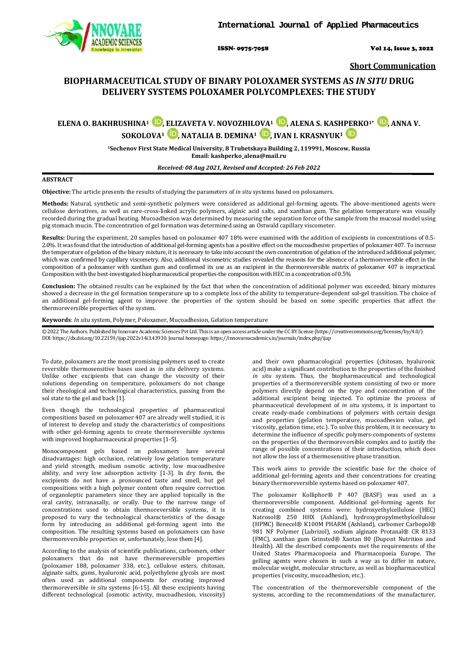

ISSN- 0975-7058 Vol 14, Issue 3, 2022

**Short Communication**

## **BIOPHARMACEUTICAL STUDY OF BINARY POLOXAMER SYSTEMS AS** *IN SITU* **DRUG DELIVERY SYSTEMS POLOXAMER POLYCOMPLEXES: THE STUDY**

# **ELENA O. BAKHRUSHINA<sup>1</sup> D**[,](https://orcid.org/0000-0002-9917-6772) ELIZAVETA V. NOVOZHIL[OVA](https://orcid.org/0000-0003-4307-8791)<sup>1</sup> **D**, ALENA S. KASH[PER](https://orcid.org/0000-0002-7242-2988)KO<sup>1\*</sup> **D**, ANNA V. **SOKOLOVA<sup>1</sup> D**[,](https://orcid.org/0000-0002-4961-704X) NATALIA B. DEMINA<sup>1</sup> **D**, IVAN I. KRASNYUK<sup>1</sup> **ID**

**1Sechenov First State Medical University, 8 Trubetskaya Building 2, 119991, Moscow, Russia Email: [kashperko\\_alena@mail.ru](mailto:kashperko_alena@mail.ru)**

*Received: 08 Aug 2021, Revised and Accepted: 26 Feb 2022*

## **ABSTRACT**

**Objective:** The article presents the results of studying the parameters of *in situ* systems based on poloxamers.

**Methods:** Natural, synthetic and semi-synthetic polymers were considered as additional gel-forming agents. The above-mentioned agents were cellulose derivatives, as well as rare-cross-linked acrylic polymers, alginic acid salts, and xanthan gum. The gelation temperature was visually recorded during the gradual heating. Mucoadhesion was determined by measuring the separation force of the sample from the mucosal model using pig stomach mucin. The concentration of gel formation was determined using an Ostwald capillary viscometer.

**Results:** During the experiment, 20 samples based on poloxamer 407 18% were examined with the addition of excipients in concentrations of 0.5- 2.0%. It was found that the introduction of additional gel-forming agents has a positive effect on the mucoadhesive properties of poloxamer 407. To increase the temperature of gelation of the binary mixture, it is necessary to take into account the own concentration of gelation of the introduced additional polymer, which was confirmed by capillary viscometry. Also, additional viscometric studies revealed the reasons for the absence of a thermoreversible effect in the composition of a poloxamer with xanthan gum and confirmed its use as an excipient in the thermoreversible matrix of poloxamer 407 is impractical. Composition with the best-investigated biopharmaceutical properties-the composition with HEC in a concentration of 0.5%

**Conclusion:** The obtained results can be explained by the fact that when the concentration of additional polymer was exceeded, binary mixtures showed a decrease in the gel formation temperature up to a complete loss of the ability to temperature-dependent sol-gel transition. The choice of an additional gel-forming agent to improve the properties of the system should be based on some specific properties that affect the thermoreversible properties of the system.

**Keywords**: *In situ* system, Polymer, Poloxamer, Mucoadhesion, Gelation temperature

© 2022 The Authors. Published by Innovare Academic Sciences Pvt Ltd. This is an open access article under the CC BY license [\(https://creativecommons.org/licenses/by/4.0/\)](https://creativecommons.org/licenses/by/4.0/) DOI: https://dx.doi.org/10.22159/ijap.2022v14i3.43930. Journal homepage[: https://innovareacademics.in/journals/index.php/ijap](https://innovareacademics.in/journals/index.php/ijap)

To date, poloxamers are the most promising polymers used to create reversible thermosensitive bases used as *in situ* delivery systems. Unlike other excipients that can change the viscosity of their solutions depending on temperature, poloxamers do not change their rheological and technological characteristics, passing from the sol state to the gel and back [1].

Even though the technological properties of pharmaceutical compositions based on poloxamer 407 are already well studied, it is of interest to develop and study the characteristics of compositions with other gel-forming agents to create thermoreversible systems with improved biopharmaceutical properties [1-5].

Monocomponent gels based on poloxamers have several disadvantages: high occlusion, relatively low gelation temperature and yield strength, medium osmotic activity, low mucoadhesive ability, and very low adsorption activity [1-3]. In dry form, the excipients do not have a pronounced taste and smell, but gel compositions with a high polymer content often require correction of organoleptic parameters since they are applied topically in the oral cavity, intranasally, or orally. Due to the narrow range of concentrations used to obtain thermoreversible systems, it is proposed to vary the technological characteristics of the dosage form by introducing an additional gel-forming agent into the composition. The resulting systems based on poloxamers can have thermoreversible properties or, unfortunately, lose them [4].

According to the analysis of scientific publications, carbomers, other poloxamers that do not have thermoreversible properties (poloxamer 188, poloxamer 338, etc.), cellulose esters, chitosan, alginate salts, gums, hyaluronic acid, polyethylene glycols are most often used as additional components for creating improved thermoreversible *in situ* systems [6-15]. All these excipients having different technological (osmotic activity, mucoadhesion, viscosity)

and their own pharmacological properties (chitosan, hyaluronic acid) make a significant contribution to the properties of the finished *in situ* system. Thus, the biopharmaceutical and technological properties of a thermoreversible system consisting of two or more polymers directly depend on the type and concentration of the additional excipient being injected. To optimize the process of pharmaceutical development of *in situ* systems, it is important to create ready-made combinations of polymers with certain design and properties (gelation temperature, mucoadhesion value, gel viscosity, gelation time, etc.). To solve this problem, it is necessary to determine the influence of specific polymers-components of systems on the properties of the thermoreversible complex and to justify the range of possible concentrations of their introduction, which does not allow the loss of a thermosensitive phase transition.

This work aims to provide the scientific base for the choice of additional gel-forming agents and their concentrations for creating binary thermoreversible systems based on poloxamer 407.

The poloxamer Kolliphor® P 407 (BASF) was used as a thermoreversible component. Additional gel-forming agents for creating combined systems were: hydroxyethylcellulose (HEC) Natrosol® 250 HHX (Ashland), hydroxypropylmethylcellulose (HPMC) Benecel® K100M PHARM (Ashland), carbomer Carbopol® 981 NF Polymer (Lubrizol), sodium alginate Protanal® CR 8133 (FMC), xanthan gum Grinsted® Xantan 80 (Dupont Nutrition and Health). All the described components met the requirements of the United States Pharmacopoeia and Pharmacopoeia Europe. The gelling agents were chosen in such a way as to differ in nature, molecular weight, molecular structure, as well as biopharmaceutical properties (viscosity, mucoadhesion, etc.).

The concentration of the thermoreversible component of the systems, according to the recommendations of the manufacturer,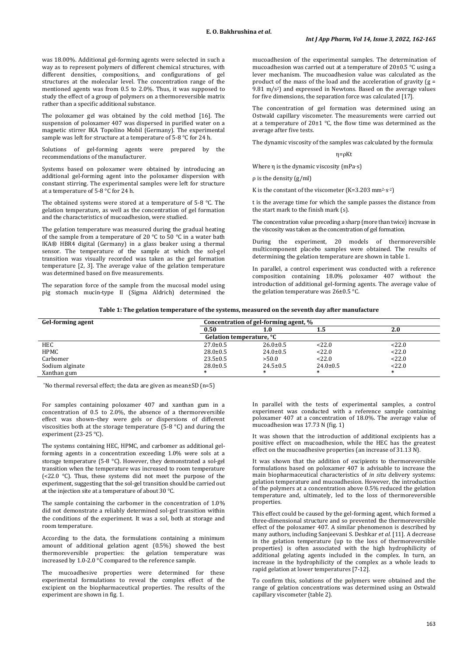was 18.00%. Additional gel-forming agents were selected in such a way as to represent polymers of different chemical structures, with different densities, compositions, and configurations of gel structures at the molecular level. The concentration range of the mentioned agents was from 0.5 to 2.0%. Thus, it was supposed to study the effect of a group of polymers on a thermoreversible matrix rather than a specific additional substance.

The poloxamer gel was obtained by the cold method [16]. The suspension of poloxamer 407 was dispersed in purified water on a magnetic stirrer IKA Topolino Mobil (Germany). The experimental sample was left for structure at a temperature of 5-8 °C for 24 h.

Solutions of gel-forming agents were prepared by the recommendations of the manufacturer.

Systems based on poloxamer were obtained by introducing an additional gel-forming agent into the poloxamer dispersion with constant stirring. The experimental samples were left for structure at a temperature of 5-8 °C for 24 h.

The obtained systems were stored at a temperature of 5-8 °C. The gelation temperature, as well as the concentration of gel formation and the characteristics of mucoadhesion, were studied.

The gelation temperature was measured during the gradual heating of the sample from a temperature of 20  $\degree$ C to 50  $\degree$ C in a water bath IKA® HBR4 digital (Germany) in a glass beaker using a thermal sensor. The temperature of the sample at which the sol-gel transition was visually recorded was taken as the gel formation temperature [2, 3]. The average value of the gelation temperature was determined based on five measurements.

The separation force of the sample from the mucosal model using pig stomach mucin-type II (Sigma Aldrich) determined the mucoadhesion of the experimental samples. The determination of mucoadhesion was carried out at a temperature of 20±0.5 °C using a lever mechanism. The mucoadhesion value was calculated as the product of the mass of the load and the acceleration of gravity  $(g =$ 9.81 m/s<sup>2</sup>) and expressed in Newtons. Based on the average values for five dimensions, the separation force was calculated [17].

The concentration of gel formation was determined using an Ostwald capillary viscometer. The measurements were carried out at a temperature of  $20\pm1$  °C, the flow time was determined as the average after five tests.

The dynamic viscosity of the samples was calculated by the formula:

#### η=ρKt

Where η is the dynamic viscosity (mPa∙s)

ρ is the density (g/ml)

K is the constant of the viscometer (K=3.203 mm2∙s-2)

t is the average time for which the sample passes the distance from the start mark to the finish mark (s).

The concentration value preceding a sharp (more than twice) increase in the viscosity was taken as the concentration of gel formation.

During the experiment, 20 models of thermoreversible multicomponent placebo samples were obtained. The results of determining the gelation temperature are shown in table 1.

In parallel, a control experiment was conducted with a reference composition containing 18.0% poloxamer 407 without the introduction of additional gel-forming agents. The average value of the gelation temperature was 26±0.5 °C.

**Table 1: The gelation temperature of the systems, measured on the seventh day after manufacture**

| Gel-forming agent | Concentration of gel-forming agent, % |                |                |        |  |  |
|-------------------|---------------------------------------|----------------|----------------|--------|--|--|
|                   | 0.50                                  | 1.0            |                | 2.0    |  |  |
|                   | Gelation temperature, °C              |                |                |        |  |  |
| <b>HEC</b>        | $27.0 \pm 0.5$                        | $26.0 \pm 0.5$ | <22.0          | <22.0  |  |  |
| HPMC              | $28.0 \pm 0.5$                        | $24.0 \pm 0.5$ | < 22.0         | 22.0   |  |  |
| Carbomer          | $23.5 \pm 0.5$                        | >50.0          | < 22.0         | 22.0   |  |  |
| Sodium alginate   | $28.0 \pm 0.5$                        | $24.5 \pm 0.5$ | $24.0 \pm 0.5$ | 22.0   |  |  |
| Xanthan gum       |                                       |                |                | $\ast$ |  |  |

\*No thermal reversal effect; the data are given as mean±SD (n=5)

For samples containing poloxamer 407 and xanthan gum in a concentration of 0.5 to 2.0%, the absence of a thermoreversible effect was shown–they were gels or dispersions of different viscosities both at the storage temperature (5-8 °C) and during the experiment (23-25 °C).

The systems containing HEC, HPMC, and carbomer as additional gelforming agents in a concentration exceeding 1.0% were sols at a storage temperature (5-8 °C). However, they demonstrated a sol-gel transition when the temperature was increased to room temperature (<22.0  $^{\circ}$ C). Thus, these systems did not meet the purpose of the experiment, suggesting that the sol-gel transition should be carried out at the injection site at a temperature of about 30 °C.

The sample containing the carbomer in the concentration of 1.0% did not demonstrate a reliably determined sol-gel transition within the conditions of the experiment. It was a sol, both at storage and room temperature.

According to the data, the formulations containing a minimum amount of additional gelation agent (0.5%) showed the best thermoreversible properties: the gelation temperature was increased by 1.0-2.0 °C compared to the reference sample.

The mucoadhesive properties were determined for these experimental formulations to reveal the complex effect of the excipient on the biopharmaceutical properties. The results of the experiment are shown in fig. 1.

In parallel with the tests of experimental samples, a control experiment was conducted with a reference sample containing poloxamer 407 at a concentration of 18.0%. The average value of mucoadhesion was 17.73 N (fig. 1)

It was shown that the introduction of additional excipients has a positive effect on mucoadhesion, while the HEC has the greatest effect on the mucoadhesive properties (an increase of 31.13 N).

It was shown that the addition of excipients to thermoreversible formulations based on poloxamer 407 is advisable to increase the main biopharmaceutical characteristics of *in situ* delivery systems: gelation temperature and mucoadhesion. However, the introduction of the polymers at a concentration above 0.5% reduced the gelation temperature and, ultimately, led to the loss of thermoreversible properties.

This effect could be caused by the gel-forming agent, which formed a three-dimensional structure and so prevented the thermoreversible effect of the poloxamer 407. A similar phenomenon is described by many authors, including Sanjeevani S. Deshkar *et al.* [11]. A decrease in the gelation temperature (up to the loss of thermoreversible properties) is often associated with the high hydrophilicity of additional gelating agents included in the complex. In turn, an increase in the hydrophilicity of the complex as a whole leads to rapid gelation at lower temperatures [7-12].

To confirm this, solutions of the polymers were obtained and the range of gelation concentrations was determined using an Ostwald capillary viscometer (table 2).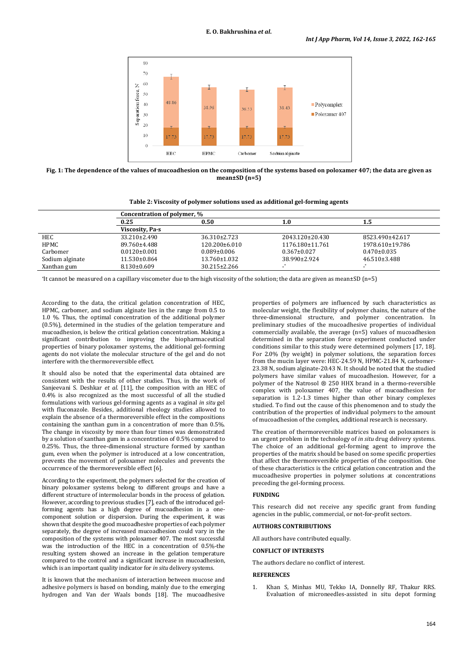

**Fig. 1: The dependence of the values of mucoadhesion on the composition of the systems based on poloxamer 407; the data are given as mean±SD (n=5)**

## **Table 2: Viscosity of polymer solutions used as additional gel-forming agents**

|                 | Concentration of polymer, % |                     |                   |                   |  |  |
|-----------------|-----------------------------|---------------------|-------------------|-------------------|--|--|
|                 | 0.25                        | 0.50                | 1.0               | 1.5               |  |  |
|                 | Viscosity, Pa <sub>S</sub>  |                     |                   |                   |  |  |
| HEC             | $33.210 \pm 2.490$          | $36.310 \pm 2.723$  | 2043.120±20.430   | 8523.490±42.617   |  |  |
| HPMC            | 89.760±4.488                | $120.200 \pm 6.010$ | 1176.180±11.761   | 1978.610±19.786   |  |  |
| Carbomer        | $0.0120 \pm 0.001$          | $0.089 \pm 0.006$   | $0.367 \pm 0.027$ | $0.470 \pm 0.035$ |  |  |
| Sodium alginate | $11.530\pm0.864$            | $13.760 \pm 1.032$  | 38.990±2.924      | 46.510±3.488      |  |  |
| Xanthan gum     | $8.130 \pm 0.609$           | $30.215 \pm 2.266$  |                   |                   |  |  |

\*It cannot be measured on a capillary viscometer due to the high viscosity of the solution; the data are given as mean±SD (n=5)

According to the data, the critical gelation concentration of HEC, HPMC, carbomer, and sodium alginate lies in the range from 0.5 to 1.0 %. Thus, the optimal concentration of the additional polymer (0.5%), determined in the studies of the gelation temperature and mucoadhesion, is below the critical gelation concentration. Making a significant contribution to improving the biopharmaceutical properties of binary poloxamer systems, the additional gel-forming agents do not violate the molecular structure of the gel and do not interfere with the thermoreversible effect.

It should also be noted that the experimental data obtained are consistent with the results of other studies. Thus, in the work of Sanjeevani S. Deshkar *et al.* [11], the composition with an HEC of 0.4% is also recognized as the most successful of all the studied formulations with various gel-forming agents as a vaginal *in situ* gel with fluconazole. Besides, additional rheology studies allowed to explain the absence of a thermoreversible effect in the compositions containing the xanthan gum in a concentration of more than 0.5%. The change in viscosity by more than four times was demonstrated by a solution of xanthan gum in a concentration of 0.5% compared to 0.25%. Thus, the three-dimensional structure formed by xanthan gum, even when the polymer is introduced at a low concentration, prevents the movement of poloxamer molecules and prevents the occurrence of the thermoreversible effect [6].

According to the experiment, the polymers selected for the creation of binary poloxamer systems belong to different groups and have a different structure of intermolecular bonds in the process of gelation. However, according to previous studies [7], each of the introduced gelforming agents has a high degree of mucoadhesion in a onecomponent solution or dispersion. During the experiment, it was shown that despite the good mucoadhesive properties of each polymer separately, the degree of increased mucoadhesion could vary in the composition of the systems with poloxamer 407. The most successful was the introduction of the HEC in a concentration of 0.5%-the resulting system showed an increase in the gelation temperature compared to the control and a significant increase in mucoadhesion, which is an important quality indicator for *in situ* delivery systems.

It is known that the mechanism of interaction between mucose and adhesive polymers is based on bonding, mainly due to the emerging hydrogen and Van der Waals bonds [18]. The mucoadhesive

properties of polymers are influenced by such characteristics as molecular weight, the flexibility of polymer chains, the nature of the three-dimensional structure, and polymer concentration. In preliminary studies of the mucoadhesive properties of individual commercially available, the average (n=5) values of mucoadhesion determined in the separation force experiment conducted under conditions similar to this study were determined polymers [17, 18]. For 2.0% (by weight) in polymer solutions, the separation forces from the mucin layer were: HEC-24.59 N, HPMC-21.84 N, carbomer-23.38 N, sodium alginate-20.43 N. It should be noted that the studied polymers have similar values of mucoadhesion. However, for a polymer of the Natrosol ® 250 HHX brand in a thermo-reversible complex with poloxamer 407, the value of mucoadhesion for separation is 1.2-1.3 times higher than other binary complexes studied. To find out the cause of this phenomenon and to study the contribution of the properties of individual polymers to the amount of mucoadhesion of the complex, additional research is necessary.

The creation of thermoreversible matrices based on poloxamers is an urgent problem in the technology of *in situ* drug delivery systems. The choice of an additional gel-forming agent to improve the properties of the matrix should be based on some specific properties that affect the thermoreversible properties of the composition. One of these characteristics is the critical gelation concentration and the mucoadhesive properties in polymer solutions at concentrations preceding the gel-forming process.

#### **FUNDING**

This research did not receive any specific grant from funding agencies in the public, commercial, or not-for-profit sectors.

#### **AUTHORS CONTRIBUTIONS**

All authors have contributed equally.

#### **CONFLICT OF INTERESTS**

The authors declare no conflict of interest.

## **REFERENCES**

1. Khan S, Minhas MU, Tekko IA, Donnelly RF, Thakur RRS. Evaluation of microneedles-assisted in situ depot forming